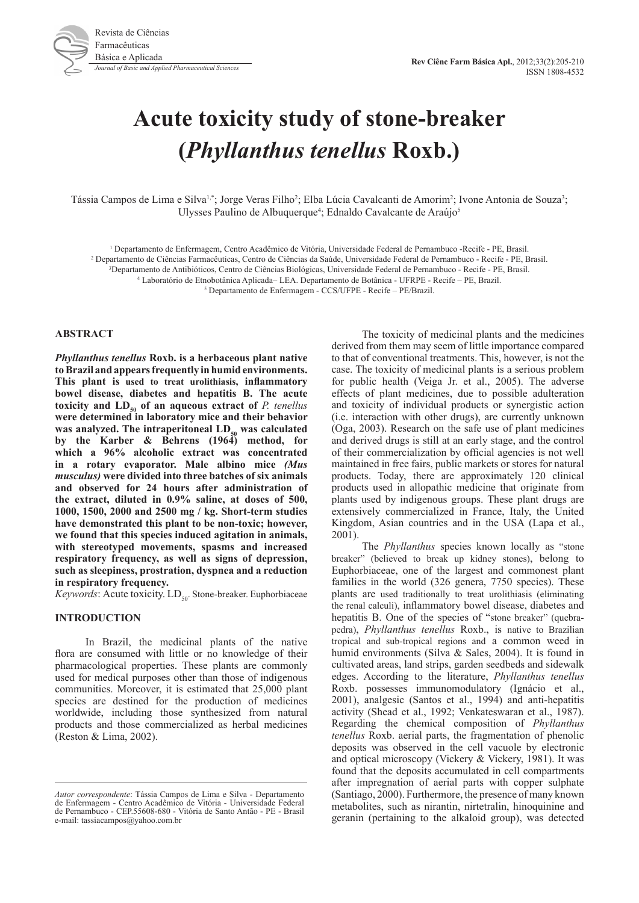

# **Acute toxicity study of stone-breaker (***Phyllanthus tenellus* **Roxb.)**

Tássia Campos de Lima e Silva<sup>1,\*</sup>; Jorge Veras Filho<sup>2</sup>; Elba Lúcia Cavalcanti de Amorim<sup>2</sup>; Ivone Antonia de Souza<sup>3</sup>; Ulysses Paulino de Albuquerque<sup>4</sup>; Ednaldo Cavalcante de Araújo<sup>5</sup>

1 Departamento de Enfermagem, Centro Acadêmico de Vitória, Universidade Federal de Pernambuco -Recife - PE, Brasil.

2 Departamento de Ciências Farmacêuticas, Centro de Ciências da Saúde, Universidade Federal de Pernambuco - Recife - PE, Brasil.

3 Departamento de Antibióticos, Centro de Ciências Biológicas, Universidade Federal de Pernambuco - Recife - PE, Brasil.

4 Laboratório de Etnobotânica Aplicada– LEA. Departamento de Botânica - UFRPE - Recife – PE, Brazil.

5 Departamento de Enfermagem - CCS/UFPE - Recife – PE/Brazil.

## **ABSTRACT**

*Phyllanthus tenellus* **Roxb. is a herbaceous plant native to Brazil and appears frequently in humid environments. This plant is used to treat urolithiasis, inflammatory bowel disease, diabetes and hepatitis B. The acute**  toxicity and  $LD_{50}$  of an aqueous extract of *P. tenellus* **were determined in laboratory mice and their behavior was analyzed. The intraperitoneal LD<sub>50</sub> was calculated by the Karber & Behrens (1964) method, for which a 96% alcoholic extract was concentrated in a rotary evaporator. Male albino mice** *(Mus musculus)* **were divided into three batches of six animals and observed for 24 hours after administration of the extract, diluted in 0.9% saline, at doses of 500, 1000, 1500, 2000 and 2500 mg / kg. Short-term studies have demonstrated this plant to be non-toxic; however, we found that this species induced agitation in animals, with stereotyped movements, spasms and increased respiratory frequency, as well as signs of depression, such as sleepiness, prostration, dyspnea and a reduction in respiratory frequency.**

*Keywords*: Acute toxicity. LD<sub>50</sub>. Stone-breaker. Euphorbiaceae

# **INTRODUCTION**

In Brazil, the medicinal plants of the native flora are consumed with little or no knowledge of their pharmacological properties. These plants are commonly used for medical purposes other than those of indigenous communities. Moreover, it is estimated that 25,000 plant species are destined for the production of medicines worldwide, including those synthesized from natural products and those commercialized as herbal medicines (Reston & Lima, 2002).

The toxicity of medicinal plants and the medicines derived from them may seem of little importance compared to that of conventional treatments. This, however, is not the case. The toxicity of medicinal plants is a serious problem for public health (Veiga Jr. et al., 2005). The adverse effects of plant medicines, due to possible adulteration and toxicity of individual products or synergistic action (i.e. interaction with other drugs), are currently unknown (Oga, 2003). Research on the safe use of plant medicines and derived drugs is still at an early stage, and the control of their commercialization by official agencies is not well maintained in free fairs, public markets or stores for natural products. Today, there are approximately 120 clinical products used in allopathic medicine that originate from plants used by indigenous groups. These plant drugs are extensively commercialized in France, Italy, the United Kingdom, Asian countries and in the USA (Lapa et al., 2001).

The *Phyllanthus* species known locally as "stone breaker" (believed to break up kidney stones), belong to Euphorbiaceae, one of the largest and commonest plant families in the world (326 genera, 7750 species). These plants are used traditionally to treat urolithiasis (eliminating the renal calculi), inflammatory bowel disease, diabetes and hepatitis B. One of the species of "stone breaker" (quebrapedra), *Phyllanthus tenellus* Roxb., is native to Brazilian tropical and sub-tropical regions and a common weed in humid environments (Silva & Sales, 2004). It is found in cultivated areas, land strips, garden seedbeds and sidewalk edges. According to the literature, *Phyllanthus tenellus* Roxb. possesses immunomodulatory (Ignácio et al., 2001), analgesic (Santos et al., 1994) and anti-hepatitis activity (Shead et al., 1992; Venkateswaran et al., 1987). Regarding the chemical composition of *Phyllanthus tenellus* Roxb. aerial parts, the fragmentation of phenolic deposits was observed in the cell vacuole by electronic and optical microscopy (Vickery & Vickery, 1981). It was found that the deposits accumulated in cell compartments after impregnation of aerial parts with copper sulphate (Santiago, 2000). Furthermore, the presence of many known metabolites, such as nirantin, nirtetralin, hinoquinine and geranin (pertaining to the alkaloid group), was detected

*Autor correspondente*: Tássia Campos de Lima e Silva - Departamento de Enfermagem - Centro Acadêmico de Vitória - Universidade Federal de Pernambuco - CEP.55608-680 - Vitória de Santo Antão - PE - Brasil e-mail: tassiacampos@yahoo.com.br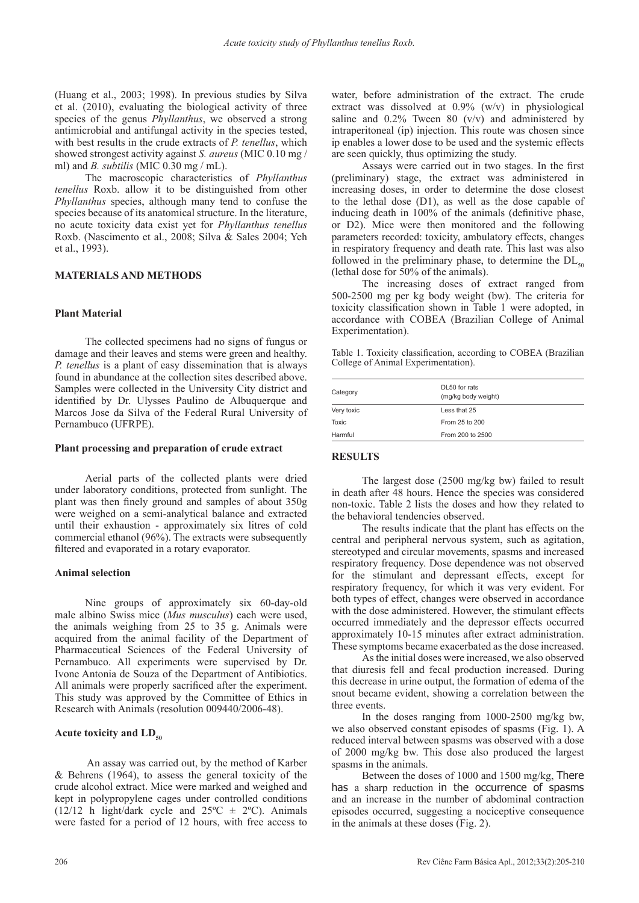(Huang et al., 2003; 1998). In previous studies by Silva et al. (2010), evaluating the biological activity of three species of the genus *Phyllanthus*, we observed a strong antimicrobial and antifungal activity in the species tested, with best results in the crude extracts of *P. tenellus*, which showed strongest activity against *S. aureus* (MIC 0.10 mg / ml) and *B. subtilis* (MIC 0.30 mg / mL).

The macroscopic characteristics of *Phyllanthus tenellus* Roxb. allow it to be distinguished from other *Phyllanthus* species, although many tend to confuse the species because of its anatomical structure. In the literature, no acute toxicity data exist yet for *Phyllanthus tenellus* Roxb. (Nascimento et al., 2008; Silva & Sales 2004; Yeh et al., 1993).

## **MATERIALS AND METHODS**

## **Plant Material**

The collected specimens had no signs of fungus or damage and their leaves and stems were green and healthy. *P. tenellus* is a plant of easy dissemination that is always found in abundance at the collection sites described above. Samples were collected in the University City district and identified by Dr. Ulysses Paulino de Albuquerque and Marcos Jose da Silva of the Federal Rural University of Pernambuco (UFRPE).

#### **Plant processing and preparation of crude extract**

Aerial parts of the collected plants were dried under laboratory conditions, protected from sunlight. The plant was then finely ground and samples of about 350g were weighed on a semi-analytical balance and extracted until their exhaustion - approximately six litres of cold commercial ethanol (96%). The extracts were subsequently filtered and evaporated in a rotary evaporator.

#### **Animal selection**

Nine groups of approximately six 60-day-old male albino Swiss mice (*Mus musculus*) each were used, the animals weighing from 25 to 35 g. Animals were acquired from the animal facility of the Department of Pharmaceutical Sciences of the Federal University of Pernambuco. All experiments were supervised by Dr. Ivone Antonia de Souza of the Department of Antibiotics. All animals were properly sacrificed after the experiment. This study was approved by the Committee of Ethics in Research with Animals (resolution 009440/2006-48).

#### Acute toxicity and LD<sub>50</sub>

An assay was carried out, by the method of Karber & Behrens (1964), to assess the general toxicity of the crude alcohol extract. Mice were marked and weighed and kept in polypropylene cages under controlled conditions (12/12 h light/dark cycle and  $25^{\circ}$ C  $\pm$  2°C). Animals were fasted for a period of 12 hours, with free access to

water, before administration of the extract. The crude extract was dissolved at 0.9% (w/v) in physiological saline and  $0.2\%$  Tween 80 (v/v) and administered by intraperitoneal (ip) injection. This route was chosen since ip enables a lower dose to be used and the systemic effects are seen quickly, thus optimizing the study.

Assays were carried out in two stages. In the first (preliminary) stage, the extract was administered in increasing doses, in order to determine the dose closest to the lethal dose (D1), as well as the dose capable of inducing death in 100% of the animals (definitive phase, or D2). Mice were then monitored and the following parameters recorded: toxicity, ambulatory effects, changes in respiratory frequency and death rate. This last was also followed in the preliminary phase, to determine the  $DL<sub>50</sub>$ (lethal dose for 50% of the animals).

The increasing doses of extract ranged from 500-2500 mg per kg body weight (bw). The criteria for toxicity classification shown in Table 1 were adopted, in accordance with COBEA (Brazilian College of Animal Experimentation).

Table 1. Toxicity classification, according to COBEA (Brazilian College of Animal Experimentation).

| Category   | DL50 for rats<br>(mg/kg body weight) |  |  |
|------------|--------------------------------------|--|--|
| Very toxic | Less that 25                         |  |  |
| Toxic      | From 25 to 200                       |  |  |
| Harmful    | From 200 to 2500                     |  |  |

#### **RESULTS**

The largest dose (2500 mg/kg bw) failed to result in death after 48 hours. Hence the species was considered non-toxic. Table 2 lists the doses and how they related to the behavioral tendencies observed.

The results indicate that the plant has effects on the central and peripheral nervous system, such as agitation, stereotyped and circular movements, spasms and increased respiratory frequency. Dose dependence was not observed for the stimulant and depressant effects, except for respiratory frequency, for which it was very evident. For both types of effect, changes were observed in accordance with the dose administered. However, the stimulant effects occurred immediately and the depressor effects occurred approximately 10-15 minutes after extract administration. These symptoms became exacerbated as the dose increased.

As the initial doses were increased, we also observed that diuresis fell and fecal production increased. During this decrease in urine output, the formation of edema of the snout became evident, showing a correlation between the three events.

In the doses ranging from 1000-2500 mg/kg bw, we also observed constant episodes of spasms (Fig. 1). A reduced interval between spasms was observed with a dose of 2000 mg/kg bw. This dose also produced the largest spasms in the animals.

Between the doses of 1000 and 1500 mg/kg, There has a sharp reduction in the occurrence of spasms and an increase in the number of abdominal contraction episodes occurred, suggesting a nociceptive consequence in the animals at these doses (Fig. 2).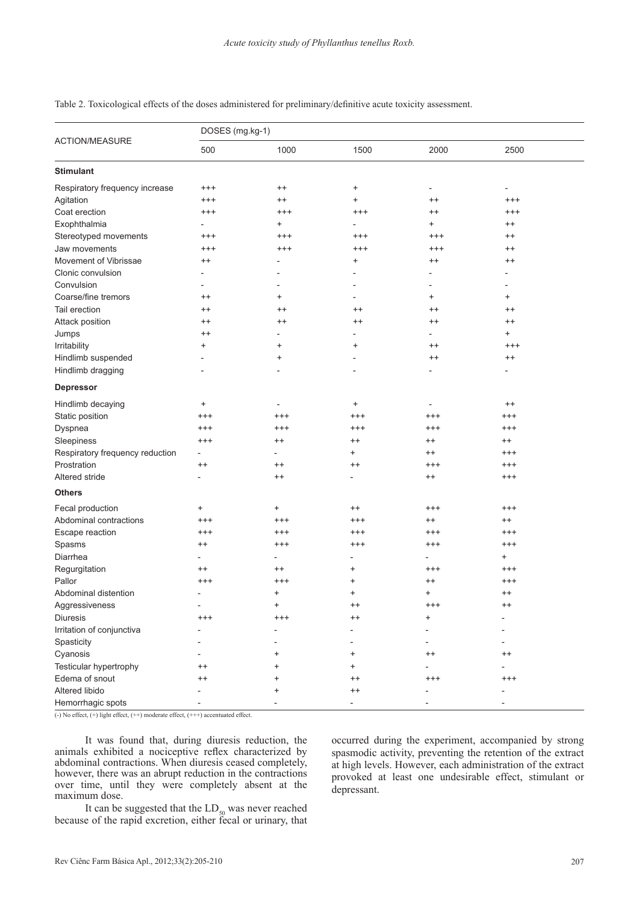| <b>ACTION/MEASURE</b>           | DOSES (mg.kg-1)          |            |                 |                          |           |  |  |
|---------------------------------|--------------------------|------------|-----------------|--------------------------|-----------|--|--|
|                                 | 500                      | 1000       | 1500            | 2000                     | 2500      |  |  |
| <b>Stimulant</b>                |                          |            |                 |                          |           |  |  |
| Respiratory frequency increase  | $^{+++}$                 | $^{++}$    | $\ddot{}$       |                          |           |  |  |
| Agitation                       | $^{+++}$                 | $^{++}$    | $\ddot{}$       | $^{++}$                  | $^{+++}$  |  |  |
| Coat erection                   | $^{+++}$                 | $^{+++}$   | $^{+++}$        | $^{++}$                  | $^{+++}$  |  |  |
| Exophthalmia                    |                          | $\ddot{}$  |                 | $\ddot{}$                | $^{++}$   |  |  |
| Stereotyped movements           | $^{+++}$                 | $^{+++}$   | $^{+++}$        | $^{+++}$                 | $^{++}$   |  |  |
| Jaw movements                   | $^{+++}$                 | $^{+++}$   | $^{+++}$        | $^{+++}$                 | $^{++}$   |  |  |
| Movement of Vibrissae           | $^{++}$                  |            | +               | $^{++}$                  | $^{++}$   |  |  |
| Clonic convulsion               |                          |            |                 |                          |           |  |  |
| Convulsion                      |                          |            |                 |                          |           |  |  |
| Coarse/fine tremors             | $^{++}$                  | $\ddot{}$  |                 | $\ddot{}$                | $\ddot{}$ |  |  |
| Tail erection                   | $^{++}$                  | $^{++}$    | $^{++}$         | $^{++}$                  | $^{++}$   |  |  |
| Attack position                 | $^{++}$                  | $^{++}$    | $^{++}$         | $^{++}$                  | $^{++}$   |  |  |
| Jumps                           | $^{++}$                  |            |                 | $\overline{\phantom{0}}$ | $\ddot{}$ |  |  |
| Irritability                    | $\ddot{}$                | +          | +               | $^{++}$                  | $^{+++}$  |  |  |
| Hindlimb suspended              |                          | $\ddot{}$  |                 | $^{++}$                  | $^{++}$   |  |  |
| Hindlimb dragging               |                          |            |                 |                          |           |  |  |
| <b>Depressor</b>                |                          |            |                 |                          |           |  |  |
| Hindlimb decaying               | $\ddot{}$                |            | $\ddot{}$       |                          | $^{++}$   |  |  |
| Static position                 | $^{+++}$                 | $^{+ + +}$ | $^{+++}$        | $^{+++}$                 | $^{+++}$  |  |  |
| Dyspnea                         | $^{+++}$                 | $^{+++}$   | $^{+++}$        | $^{+++}$                 | $^{+++}$  |  |  |
| Sleepiness                      | $^{+++}$                 | $^{++}$    | $^{++}$         | $^{++}$                  | $^{++}$   |  |  |
| Respiratory frequency reduction | $\overline{\phantom{0}}$ |            | $\ddot{}$       | $^{++}$                  | $^{+++}$  |  |  |
| Prostration                     | $^{++}$                  | $^{++}$    | $^{++}$         | $^{+++}$                 | $^{+++}$  |  |  |
| Altered stride                  |                          | $^{++}$    |                 | $^{++}$                  | $^{+++}$  |  |  |
| Others                          |                          |            |                 |                          |           |  |  |
| Fecal production                | $\ddot{}$                | $\ddot{}$  | $^{++}$         | $^{+++}$                 | $^{+++}$  |  |  |
| Abdominal contractions          | $^{+++}$                 | $^{+++}$   | $^{+++}$        | $^{++}$                  | $^{++}$   |  |  |
| Escape reaction                 | $^{+++}$                 | $^{+ + +}$ | $^{+++}$        | $^{+++}$                 | $^{+++}$  |  |  |
| Spasms                          | $^{++}$                  | $^{++}$    | $^{+++}$        | $^{+++}$                 | $^{+++}$  |  |  |
| Diarrhea                        |                          |            |                 |                          | +         |  |  |
| Regurgitation                   | $^{++}$                  | $^{++}$    | $\ddot{}$       | $^{+++}$                 | $^{+++}$  |  |  |
| Pallor                          | $^{+++}$                 | $^{+++}$   | $\ddot{}$       | $^{++}$                  | $^{+++}$  |  |  |
| Abdominal distention            |                          | $\ddot{}$  | $\ddot{}$       | $\pm$                    | $^{++}$   |  |  |
| Aggressiveness                  |                          |            |                 | $^{+++}$                 | $^{++}$   |  |  |
| Diuresis                        | $^{+++}$                 | $^{+++}$   | $^{++}$         | +                        |           |  |  |
| Irritation of conjunctiva       |                          |            |                 |                          |           |  |  |
| Spasticity                      |                          |            |                 |                          |           |  |  |
| Cyanosis                        |                          | ٠          | +               | $^{\mathrm{+}}$          | $^{++}$   |  |  |
| Testicular hypertrophy          | $^{\mathrm{+}}$          |            |                 |                          |           |  |  |
| Edema of snout                  | ++                       |            | $^{\mathrm{+}}$ | $^{+++}$                 | $^{+++}$  |  |  |
| Altered libido                  |                          |            | $^{++}$         |                          |           |  |  |
| Hemorrhagic spots               |                          |            |                 |                          |           |  |  |

Table 2. Toxicological effects of the doses administered for preliminary/definitive acute toxicity assessment.

 $\overline{(-)}$  No effect,  $(+)$  light effect,  $(++)$  moderate effect,  $(++)$  accentuated effect.

It was found that, during diuresis reduction, the animals exhibited a nociceptive reflex characterized by abdominal contractions. When diuresis ceased completely, however, there was an abrupt reduction in the contractions over time, until they were completely absent at the maximum dose.

It can be suggested that the  $LD_{50}$  was never reached because of the rapid excretion, either fecal or urinary, that occurred during the experiment, accompanied by strong spasmodic activity, preventing the retention of the extract at high levels. However, each administration of the extract provoked at least one undesirable effect, stimulant or depressant.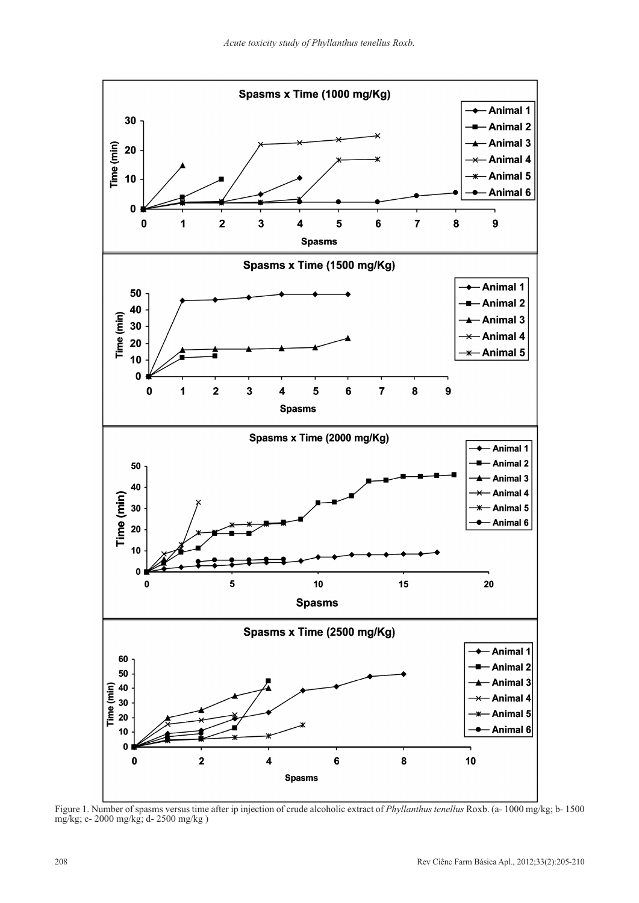

Figure 1. Number of spasms versus time after ip injection of crude alcoholic extract of *Phyllanthus tenellus* Roxb. (a- 1000 mg/kg; b- 1500 mg/kg; c- 2000 mg/kg; d- 2500 mg/kg )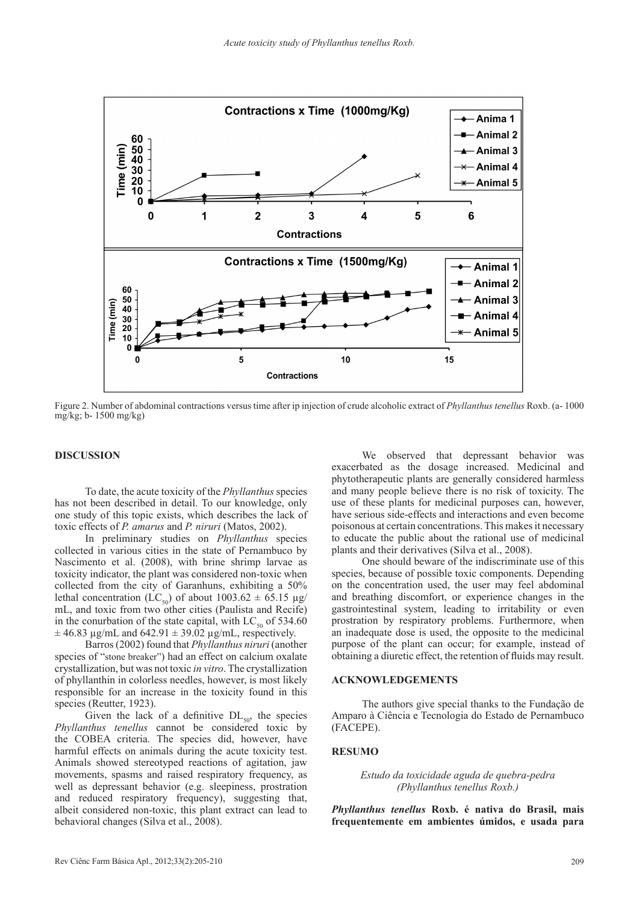

Figure 2. Number of abdominal contractions versus time after ip injection of crude alcoholic extract of *Phyllanthus tenellus* Roxb. (a- 1000 mg/kg; b- 1500 mg/kg)

# **DISCUSSION**

To date, the acute toxicity of the *Phyllanthus* species has not been described in detail. To our knowledge, only one study of this topic exists, which describes the lack of toxic effects of *P. amarus* and *P. niruri* (Matos, 2002).

In preliminary studies on *Phyllanthus* species collected in various cities in the state of Pernambuco by Nascimento et al. (2008), with brine shrimp larvae as toxicity indicator, the plant was considered non-toxic when collected from the city of Garanhuns, exhibiting a 50% lethal concentration (LC<sub>50</sub>) of about 1003.62  $\pm$  65.15 µg/ mL, and toxic from two other cities (Paulista and Recife) in the conurbation of the state capital, with  $LC_{50}$  of 534.60  $\pm$  46.83 µg/mL and 642.91  $\pm$  39.02 µg/mL, respectively.

Barros (2002) found that *Phyllanthus niruri* (another species of "stone breaker") had an effect on calcium oxalate crystallization, but was not toxic *in vitro*. The crystallization of phyllanthin in colorless needles, however, is most likely responsible for an increase in the toxicity found in this species (Reutter, 1923).

Given the lack of a definitive  $DL_{50}$ , the species *Phyllanthus tenellus* cannot be considered toxic by the COBEA criteria. The species did, however, have harmful effects on animals during the acute toxicity test. Animals showed stereotyped reactions of agitation, jaw movements, spasms and raised respiratory frequency, as well as depressant behavior (e.g. sleepiness, prostration and reduced respiratory frequency), suggesting that, albeit considered non-toxic, this plant extract can lead to behavioral changes (Silva et al., 2008).

We observed that depressant behavior was exacerbated as the dosage increased. Medicinal and phytotherapeutic plants are generally considered harmless and many people believe there is no risk of toxicity. The use of these plants for medicinal purposes can, however, have serious side-effects and interactions and even become poisonous at certain concentrations. This makes it necessary to educate the public about the rational use of medicinal plants and their derivatives (Silva et al., 2008).

One should beware of the indiscriminate use of this species, because of possible toxic components. Depending on the concentration used, the user may feel abdominal and breathing discomfort, or experience changes in the gastrointestinal system, leading to irritability or even prostration by respiratory problems. Furthermore, when an inadequate dose is used, the opposite to the medicinal purpose of the plant can occur; for example, instead of obtaining a diuretic effect, the retention of fluids may result.

#### **ACKNOWLEDGEMENTS**

The authors give special thanks to the Fundação de Amparo à Ciência e Tecnologia do Estado de Pernambuco (FACEPE).

#### **RESUMO**

*Estudo da toxicidade aguda de quebra-pedra (Phyllanthus tenellus Roxb.)*

*Phyllanthus tenellus* **Roxb. é nativa do Brasil, mais frequentemente em ambientes úmidos, e usada para**